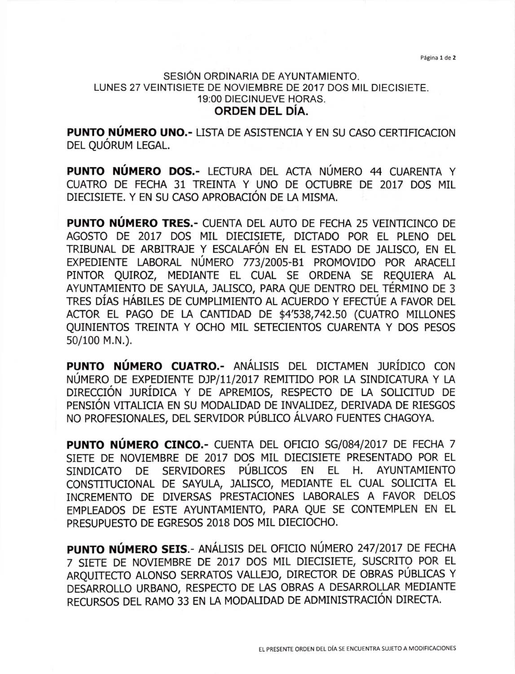Página 1 de 2

## SESIÓN ORDINARIA DE AYUNTAMIENTO, LUNES 27 VEINTISIETE DE NOVIEMBRE DE 2017 DOS MIL DIECISIETE. <sup>1</sup>9:00 DIECINUEVE HORAS. ORDEN DEL DíA.

PUNTO NÚMERO UNO.- LISTA DE ASISTENCIA Y EN SU CASO CERTIFICACION DEL QUÓRUM LEGAL.

PUNTO NÚMERO DOS.- LECTURA DEL ACTA NÚMERO 44 CUARENTA <sup>Y</sup> CUATRO DE FECHA 31 TREINTA Y UNO DE OCTUBRE DE 2OL7 DOS MIL DIECISIETE. Y EN SU CASO APROBACIóN DE LA MISMA.

PUNTO NÚMERO TRES.- CUENTA DEL AUTO DE FECHA 25 VEINTICINCO DE AGOSTO DE 2OI7 DOS MIL DIECISIETE, DICTADO POR EL PLENO DEL TRIBUNAL DE ARBITRAJE Y ESCALAFON EN EL ESTADO DE ]ALISCO, EN EL EXPEDIENTE LABORAL NÚMERO 773/2005-B1 PROMOVIDO POR ARACELI PINTOR QUIROZ, MEDIANTE EL CUAL SE ORDENA SE REQUIERA AL AYUNTAMIENTO DE SAYULA, JALISCO, PARA QUE DENTRO DEL TÉRMINO DE 3 TRES DÍAS HÁBILES DE CUMPUMIENTo AL ACUERDo Y EFECTÚE A FAVoR DEL ACTOR EL PAGO DE LA CANTIDAD DE \$4'538,742.50 (CUATRO MILLONES QUINIENTOS TREINTA Y OCHO MIL SETECIENTOS CUARENTA Y DOS PESOS s0/100 M.N.).

PUNTO NÚMERO CUATRO.- ANÁUSIS DEL DICTAMEN JURÍDICO CON NÚMERO DE EXPEDIENTE DJP/11/2017 REMITIDO POR LA SINDICATURA Y LA DIRECCIÓN JURÍDICA Y DE APREMIOS, RESPECTO DE LA SOLICITUD DE PENSIóN VITALICIA EN SU MODAUDAD DE INVALIDEZ, DERIVADA DE RIESGOS NO PROFESIONALES, DEL SERVIDOR PÚBLICO ÁLVARO FUENTES CHAGOYA.

PUNTO NÚMERO CINCO.- CUENTA DEL OFICIO SG/084/2017 DE FECHA 7 SIETE DE NOVIEMBRE DE 2017 DOS MIL DIECISIETE PRESENTADO POR EL SINDICATO DE SERVIDORES PÚBLICOS EN EL H. AYUNTAMIENTO CONSTITUCIONAL DE SAYULA, ]ALISCO, MEDIANTE EL CUAL SOLICITA EL INCREMENTO DE DIVERSAS PRESTACIONES LABORALES A FAVOR DELOS EMPLEADOS DE ESTE AYUNTAMIENTO, PARA QUE SE CONTEMPLEN EN EL PRESUPUESTO DE EGRESOS 2018 DOS MIL DIECIOCHO.

PUNTO NÚMERO SEIS.- ANÁLISIS DEL OFICIO NÚMERO 247/2017 DE FECHA 7 SIETE DE NOVIEMBRE DE 2017 DOS MIL DIECISIETE, SUSCRITO POR EL ARQUITECTO ALONSO SERRATOS VALLEJO, DIRECTOR DE OBRAS PUBLICAS Y DESARROLLO URBANO, RESPECTO DE LAS OBRAS A DESARROLLAR MEDIANTE RECURSOS DEL RAMO 33 EN LA MODAUDAD DE ADMINISTRACIÓN DIRECTA.